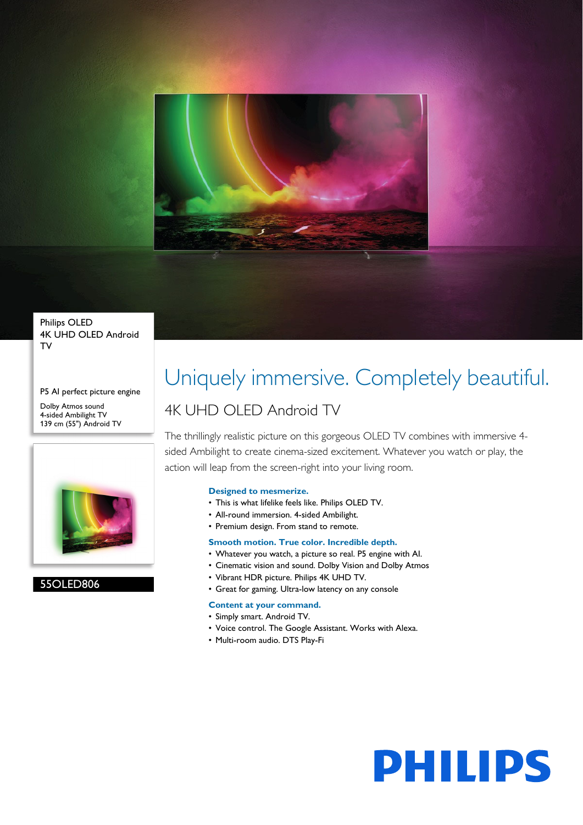

Philips OLED 4K UHD OLED Android TV

P5 AI perfect picture engine Dolby Atmos sound 4-sided Ambilight TV 139 cm (55") Android TV



### 55OLED806

# Uniquely immersive. Completely beautiful.

### 4K UHD OLED Android TV

The thrillingly realistic picture on this gorgeous OLED TV combines with immersive 4 sided Ambilight to create cinema-sized excitement. Whatever you watch or play, the action will leap from the screen-right into your living room.

### **Designed to mesmerize.**

- This is what lifelike feels like. Philips OLED TV.
- All-round immersion. 4-sided Ambilight.
- Premium design. From stand to remote.

### **Smooth motion. True color. Incredible depth.**

- Whatever you watch, a picture so real. P5 engine with AI.
- Cinematic vision and sound. Dolby Vision and Dolby Atmos
- Vibrant HDR picture. Philips 4K UHD TV.
- Great for gaming. Ultra-low latency on any console

### **Content at your command.**

- Simply smart. Android TV.
- Voice control. The Google Assistant. Works with Alexa.
- Multi-room audio. DTS Play-Fi

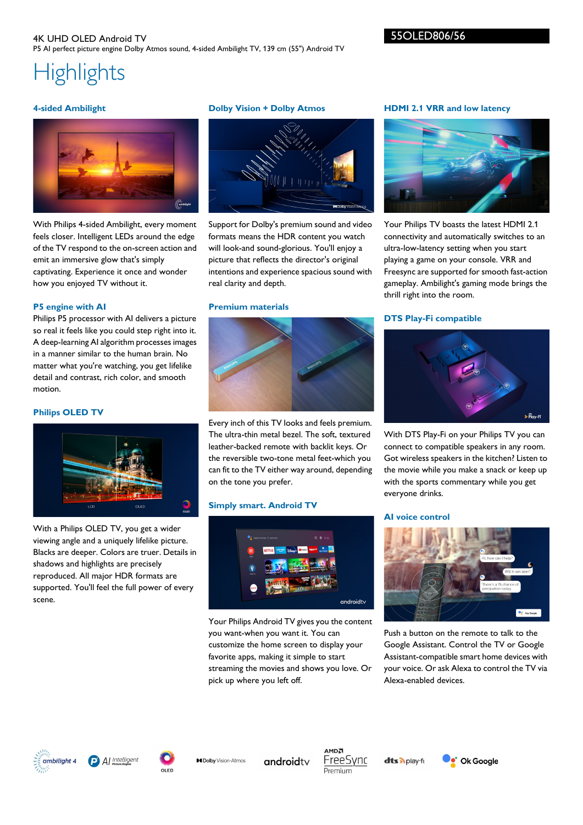### 4K UHD OLED Android TV P5 AI perfect picture engine Dolby Atmos sound, 4-sided Ambilight TV, 139 cm (55") Android TV

### 55OLED806/56

## **Highlights**

### **4-sided Ambilight**



With Philips 4-sided Ambilight, every moment feels closer. Intelligent LEDs around the edge of the TV respond to the on-screen action and emit an immersive glow that's simply captivating. Experience it once and wonder how you enjoyed TV without it.

### **P5 engine with AI**

Philips P5 processor with AI delivers a picture so real it feels like you could step right into it. A deep-learning AI algorithm processes images in a manner similar to the human brain. No matter what you're watching, you get lifelike detail and contrast, rich color, and smooth motion.

### **Philips OLED TV**



With a Philips OLED TV, you get a wider viewing angle and a uniquely lifelike picture. Blacks are deeper. Colors are truer. Details in shadows and highlights are precisely reproduced. All major HDR formats are supported. You'll feel the full power of every scene.

### **Dolby Vision + Dolby Atmos**



Support for Dolby's premium sound and video formats means the HDR content you watch will look-and sound-glorious. You'll enjoy a picture that reflects the director's original intentions and experience spacious sound with real clarity and depth.

### **Premium materials**



Every inch of this TV looks and feels premium. The ultra-thin metal bezel. The soft, textured leather-backed remote with backlit keys. Or the reversible two-tone metal feet-which you can fit to the TV either way around, depending on the tone you prefer.

### **Simply smart. Android TV**



Your Philips Android TV gives you the content you want-when you want it. You can customize the home screen to display your favorite apps, making it simple to start streaming the movies and shows you love. Or pick up where you left off.

### **HDMI 2.1 VRR and low latency**



Your Philips TV boasts the latest HDMI 2.1 connectivity and automatically switches to an ultra-low-latency setting when you start playing a game on your console. VRR and Freesync are supported for smooth fast-action gameplay. Ambilight's gaming mode brings the thrill right into the room.

### **DTS Play-Fi compatible**



With DTS Play-Fi on your Philips TV you can connect to compatible speakers in any room. Got wireless speakers in the kitchen? Listen to the movie while you make a snack or keep up with the sports commentary while you get everyone drinks.

### **AI voice control**



Push a button on the remote to talk to the Google Assistant. Control the TV or Google Assistant-compatible smart home devices with your voice. Or ask Alexa to control the TV via Alexa-enabled devices.







**MDolby** Vision Atmos androidty

MDA FreeSync Premium

**dts** Aplay-fr.